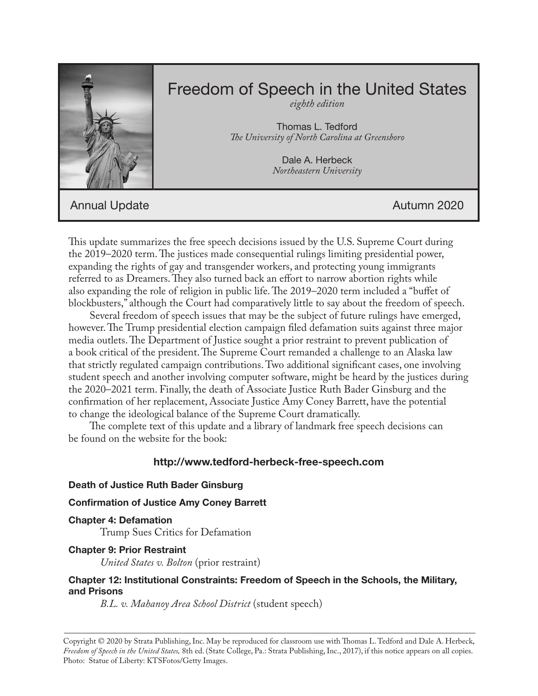

# Freedom of Speech in the United States

*eighth edition*

Thomas L. Tedford *The University of North Carolina at Greensboro*

> Dale A. Herbeck *Northeastern University*

Annual Update Autumn 2020

This update summarizes the free speech decisions issued by the U.S. Supreme Court during the 2019–2020 term. The justices made consequential rulings limiting presidential power, expanding the rights of gay and transgender workers, and protecting young immigrants referred to as Dreamers. They also turned back an effort to narrow abortion rights while also expanding the role of religion in public life. The 2019–2020 term included a "buffet of blockbusters," although the Court had comparatively little to say about the freedom of speech.

Several freedom of speech issues that may be the subject of future rulings have emerged, however. The Trump presidential election campaign filed defamation suits against three major media outlets. The Department of Justice sought a prior restraint to prevent publication of a book critical of the president. The Supreme Court remanded a challenge to an Alaska law that strictly regulated campaign contributions. Two additional significant cases, one involving student speech and another involving computer software, might be heard by the justices during the 2020–2021 term. Finally, the death of Associate Justice Ruth Bader Ginsburg and the confirmation of her replacement, Associate Justice Amy Coney Barrett, have the potential to change the ideological balance of the Supreme Court dramatically.

The complete text of this update and a library of landmark free speech decisions can be found on the website for the book:

## **http://www.tedford-herbeck-free-speech.com**

#### **Death of Justice Ruth Bader Ginsburg**

#### **Confirmation of Justice Amy Coney Barrett**

**Chapter 4: Defamation** Trump Sues Critics for Defamation

## **Chapter 9: Prior Restraint**

*United States v. Bolton* (prior restraint)

## **Chapter 12: Institutional Constraints: Freedom of Speech in the Schools, the Military, and Prisons**

*B.L. v. Mahanoy Area School District* (student speech)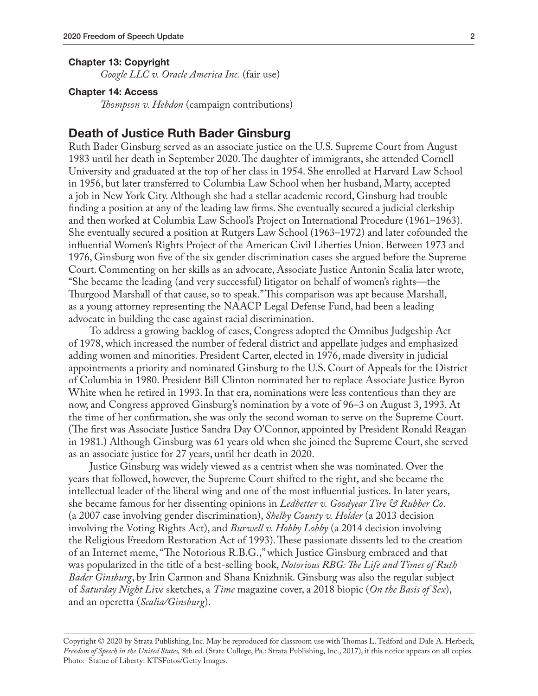#### **Chapter 13: Copyright**

*Google LLC v. Oracle America Inc.* (fair use)

#### **Chapter 14: Access**

*Thompson v. Hebdon* (campaign contributions)

#### **Death of Justice Ruth Bader Ginsburg**

Ruth Bader Ginsburg served as an associate justice on the U.S. Supreme Court from August 1983 until her death in September 2020. The daughter of immigrants, she attended Cornell University and graduated at the top of her class in 1954. She enrolled at Harvard Law School in 1956, but later transferred to Columbia Law School when her husband, Marty, accepted a job in New York City. Although she had a stellar academic record, Ginsburg had trouble finding a position at any of the leading law firms. She eventually secured a judicial clerkship and then worked at Columbia Law School's Project on International Procedure (1961–1963). She eventually secured a position at Rutgers Law School (1963–1972) and later cofounded the influential Women's Rights Project of the American Civil Liberties Union. Between 1973 and 1976, Ginsburg won five of the six gender discrimination cases she argued before the Supreme Court. Commenting on her skills as an advocate, Associate Justice Antonin Scalia later wrote, "She became the leading (and very successful) litigator on behalf of women's rights—the Thurgood Marshall of that cause, so to speak." This comparison was apt because Marshall, as a young attorney representing the NAACP Legal Defense Fund, had been a leading advocate in building the case against racial discrimination.

To address a growing backlog of cases, Congress adopted the Omnibus Judgeship Act of 1978, which increased the number of federal district and appellate judges and emphasized adding women and minorities. President Carter, elected in 1976, made diversity in judicial appointments a priority and nominated Ginsburg to the U.S. Court of Appeals for the District of Columbia in 1980. President Bill Clinton nominated her to replace Associate Justice Byron White when he retired in 1993. In that era, nominations were less contentious than they are now, and Congress approved Ginsburg's nomination by a vote of 96–3 on August 3, 1993. At the time of her confirmation, she was only the second woman to serve on the Supreme Court. (The first was Associate Justice Sandra Day O'Connor, appointed by President Ronald Reagan in 1981.) Although Ginsburg was 61 years old when she joined the Supreme Court, she served as an associate justice for 27 years, until her death in 2020.

Justice Ginsburg was widely viewed as a centrist when she was nominated. Over the years that followed, however, the Supreme Court shifted to the right, and she became the intellectual leader of the liberal wing and one of the most influential justices. In later years, she became famous for her dissenting opinions in *Ledbetter v. Goodyear Tire & Rubber Co*. (a 2007 case involving gender discrimination), *Shelby County v. Holder* (a 2013 decision involving the Voting Rights Act), and *Burwell v. Hobby Lobby* (a 2014 decision involving the Religious Freedom Restoration Act of 1993). These passionate dissents led to the creation of an Internet meme, "The Notorious R.B.G.," which Justice Ginsburg embraced and that was popularized in the title of a best-selling book, *Notorious RBG: The Life and Times of Ruth Bader Ginsburg*, by Irin Carmon and Shana Knizhnik. Ginsburg was also the regular subject of *Saturday Night Live* sketches, a *Time* magazine cover, a 2018 biopic (*On the Basis of Sex*), and an operetta (*Scalia/Ginsburg*).

Copyright © 2020 by Strata Publishing, Inc. May be reproduced for classroom use with Thomas L. Tedford and Dale A. Herbeck, *Freedom of Speech in the United States,* 8th ed. (State College, Pa.: Strata Publishing, Inc., 2017), if this notice appears on all copies. Photo: Statue of Liberty: KTSFotos/Getty Images.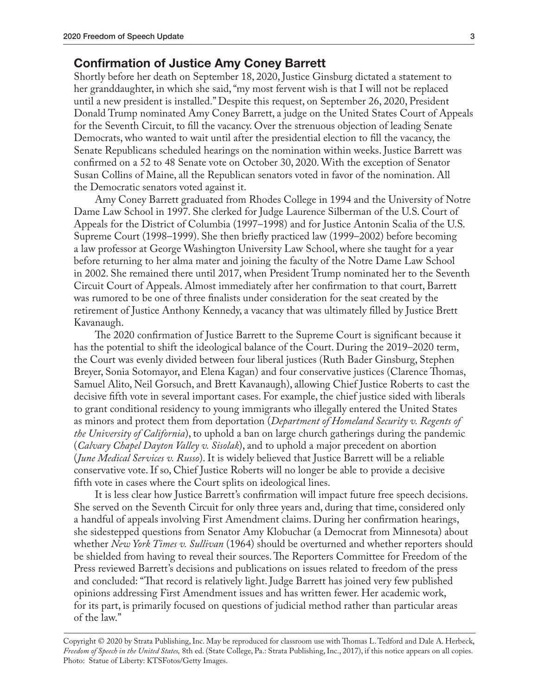## **Confirmation of Justice Amy Coney Barrett**

Shortly before her death on September 18, 2020, Justice Ginsburg dictated a statement to her granddaughter, in which she said, "my most fervent wish is that I will not be replaced until a new president is installed." Despite this request, on September 26, 2020, President Donald Trump nominated Amy Coney Barrett, a judge on the United States Court of Appeals for the Seventh Circuit, to fill the vacancy. Over the strenuous objection of leading Senate Democrats, who wanted to wait until after the presidential election to fill the vacancy, the Senate Republicans scheduled hearings on the nomination within weeks. Justice Barrett was confirmed on a 52 to 48 Senate vote on October 30, 2020. With the exception of Senator Susan Collins of Maine, all the Republican senators voted in favor of the nomination. All the Democratic senators voted against it.

Amy Coney Barrett graduated from Rhodes College in 1994 and the University of Notre Dame Law School in 1997. She clerked for Judge Laurence Silberman of the U.S. Court of Appeals for the District of Columbia (1997–1998) and for Justice Antonin Scalia of the U.S. Supreme Court (1998–1999). She then briefly practiced law (1999–2002) before becoming a law professor at George Washington University Law School, where she taught for a year before returning to her alma mater and joining the faculty of the Notre Dame Law School in 2002. She remained there until 2017, when President Trump nominated her to the Seventh Circuit Court of Appeals. Almost immediately after her confirmation to that court, Barrett was rumored to be one of three finalists under consideration for the seat created by the retirement of Justice Anthony Kennedy, a vacancy that was ultimately filled by Justice Brett Kavanaugh.

The 2020 confirmation of Justice Barrett to the Supreme Court is significant because it has the potential to shift the ideological balance of the Court. During the 2019–2020 term, the Court was evenly divided between four liberal justices (Ruth Bader Ginsburg, Stephen Breyer, Sonia Sotomayor, and Elena Kagan) and four conservative justices (Clarence Thomas, Samuel Alito, Neil Gorsuch, and Brett Kavanaugh), allowing Chief Justice Roberts to cast the decisive fifth vote in several important cases. For example, the chief justice sided with liberals to grant conditional residency to young immigrants who illegally entered the United States as minors and protect them from deportation (*Department of Homeland Security v. Regents of the University of California*), to uphold a ban on large church gatherings during the pandemic (*Calvary Chapel Dayton Valley v. Sisolak*), and to uphold a major precedent on abortion (*June Medical Services v. Russo*). It is widely believed that Justice Barrett will be a reliable conservative vote. If so, Chief Justice Roberts will no longer be able to provide a decisive fifth vote in cases where the Court splits on ideological lines.

It is less clear how Justice Barrett's confirmation will impact future free speech decisions. She served on the Seventh Circuit for only three years and, during that time, considered only a handful of appeals involving First Amendment claims. During her confirmation hearings, she sidestepped questions from Senator Amy Klobuchar (a Democrat from Minnesota) about whether *New York Times v. Sullivan* (1964) should be overturned and whether reporters should be shielded from having to reveal their sources. The Reporters Committee for Freedom of the Press reviewed Barrett's decisions and publications on issues related to freedom of the press and concluded: "That record is relatively light. Judge Barrett has joined very few published opinions addressing First Amendment issues and has written fewer. Her academic work, for its part, is primarily focused on questions of judicial method rather than particular areas of the law."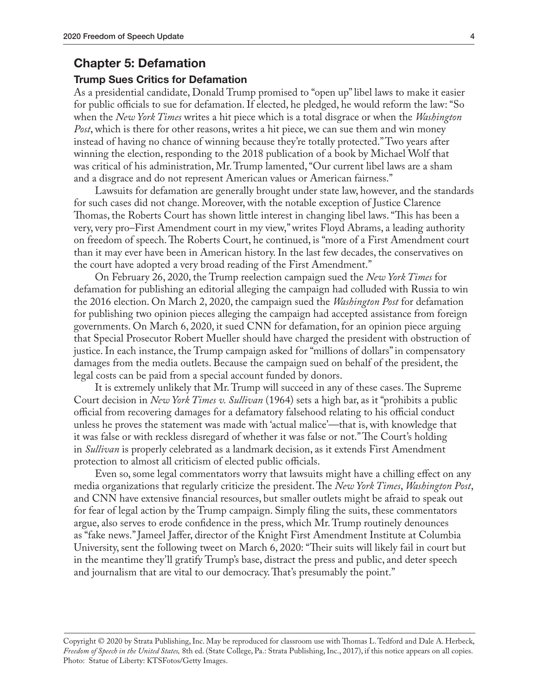## **Chapter 5: Defamation**

#### **Trump Sues Critics for Defamation**

As a presidential candidate, Donald Trump promised to "open up" libel laws to make it easier for public officials to sue for defamation. If elected, he pledged, he would reform the law: "So when the *New York Times* writes a hit piece which is a total disgrace or when the *Washington Post*, which is there for other reasons, writes a hit piece, we can sue them and win money instead of having no chance of winning because they're totally protected." Two years after winning the election, responding to the 2018 publication of a book by Michael Wolf that was critical of his administration, Mr. Trump lamented, "Our current libel laws are a sham and a disgrace and do not represent American values or American fairness."

Lawsuits for defamation are generally brought under state law, however, and the standards for such cases did not change. Moreover, with the notable exception of Justice Clarence Thomas, the Roberts Court has shown little interest in changing libel laws. "This has been a very, very pro–First Amendment court in my view," writes Floyd Abrams, a leading authority on freedom of speech. The Roberts Court, he continued, is "more of a First Amendment court than it may ever have been in American history. In the last few decades, the conservatives on the court have adopted a very broad reading of the First Amendment."

On February 26, 2020, the Trump reelection campaign sued the *New York Times* for defamation for publishing an editorial alleging the campaign had colluded with Russia to win the 2016 election. On March 2, 2020, the campaign sued the *Washington Post* for defamation for publishing two opinion pieces alleging the campaign had accepted assistance from foreign governments. On March 6, 2020, it sued CNN for defamation, for an opinion piece arguing that Special Prosecutor Robert Mueller should have charged the president with obstruction of justice. In each instance, the Trump campaign asked for "millions of dollars" in compensatory damages from the media outlets. Because the campaign sued on behalf of the president, the legal costs can be paid from a special account funded by donors.

It is extremely unlikely that Mr. Trump will succeed in any of these cases. The Supreme Court decision in *New York Times v. Sullivan* (1964) sets a high bar, as it "prohibits a public official from recovering damages for a defamatory falsehood relating to his official conduct unless he proves the statement was made with 'actual malice'—that is, with knowledge that it was false or with reckless disregard of whether it was false or not." The Court's holding in *Sullivan* is properly celebrated as a landmark decision, as it extends First Amendment protection to almost all criticism of elected public officials.

Even so, some legal commentators worry that lawsuits might have a chilling effect on any media organizations that regularly criticize the president. The *New York Times*, *Washington Post*, and CNN have extensive financial resources, but smaller outlets might be afraid to speak out for fear of legal action by the Trump campaign. Simply filing the suits, these commentators argue, also serves to erode confidence in the press, which Mr. Trump routinely denounces as "fake news." Jameel Jaffer, director of the Knight First Amendment Institute at Columbia University, sent the following tweet on March 6, 2020: "Their suits will likely fail in court but in the meantime they'll gratify Trump's base, distract the press and public, and deter speech and journalism that are vital to our democracy. That's presumably the point."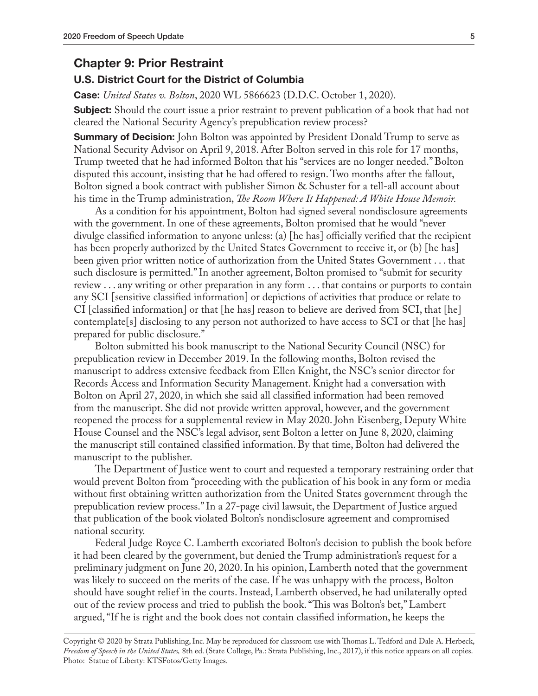## **Chapter 9: Prior Restraint**

#### **U.S. District Court for the District of Columbia**

**Case:** *United States v. Bolton*, 2020 WL 5866623 (D.D.C. October 1, 2020).

**Subject:** Should the court issue a prior restraint to prevent publication of a book that had not cleared the National Security Agency's prepublication review process?

**Summary of Decision:** John Bolton was appointed by President Donald Trump to serve as National Security Advisor on April 9, 2018. After Bolton served in this role for 17 months, Trump tweeted that he had informed Bolton that his "services are no longer needed." Bolton disputed this account, insisting that he had offered to resign. Two months after the fallout, Bolton signed a book contract with publisher Simon & Schuster for a tell-all account about his time in the Trump administration, *The Room Where It Happened: A White House Memoir.*

As a condition for his appointment, Bolton had signed several nondisclosure agreements with the government. In one of these agreements, Bolton promised that he would "never divulge classified information to anyone unless: (a) [he has] officially verified that the recipient has been properly authorized by the United States Government to receive it, or (b) [he has] been given prior written notice of authorization from the United States Government . . . that such disclosure is permitted." In another agreement, Bolton promised to "submit for security review . . . any writing or other preparation in any form . . . that contains or purports to contain any SCI [sensitive classified information] or depictions of activities that produce or relate to CI [classified information] or that [he has] reason to believe are derived from SCI, that [he] contemplate[s] disclosing to any person not authorized to have access to SCI or that [he has] prepared for public disclosure."

Bolton submitted his book manuscript to the National Security Council (NSC) for prepublication review in December 2019. In the following months, Bolton revised the manuscript to address extensive feedback from Ellen Knight, the NSC's senior director for Records Access and Information Security Management. Knight had a conversation with Bolton on April 27, 2020, in which she said all classified information had been removed from the manuscript. She did not provide written approval, however, and the government reopened the process for a supplemental review in May 2020. John Eisenberg, Deputy White House Counsel and the NSC's legal advisor, sent Bolton a letter on June 8, 2020, claiming the manuscript still contained classified information. By that time, Bolton had delivered the manuscript to the publisher.

The Department of Justice went to court and requested a temporary restraining order that would prevent Bolton from "proceeding with the publication of his book in any form or media without first obtaining written authorization from the United States government through the prepublication review process." In a 27-page civil lawsuit, the Department of Justice argued that publication of the book violated Bolton's nondisclosure agreement and compromised national security.

Federal Judge Royce C. Lamberth excoriated Bolton's decision to publish the book before it had been cleared by the government, but denied the Trump administration's request for a preliminary judgment on June 20, 2020. In his opinion, Lamberth noted that the government was likely to succeed on the merits of the case. If he was unhappy with the process, Bolton should have sought relief in the courts. Instead, Lamberth observed, he had unilaterally opted out of the review process and tried to publish the book. "This was Bolton's bet," Lambert argued, "If he is right and the book does not contain classified information, he keeps the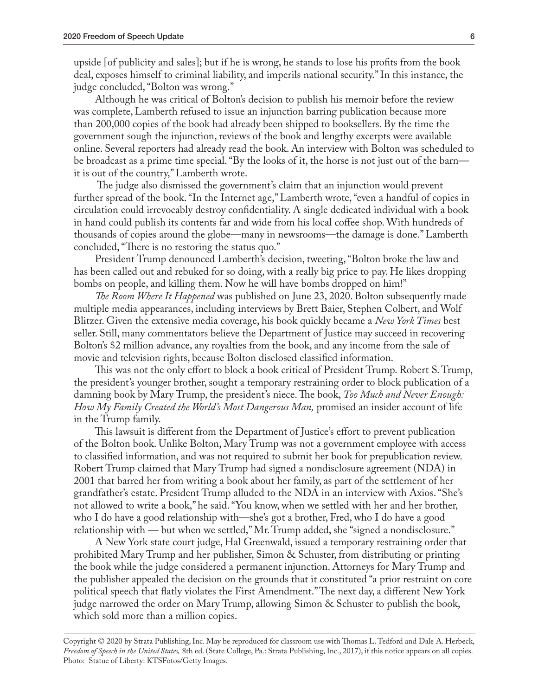upside [of publicity and sales]; but if he is wrong, he stands to lose his profits from the book deal, exposes himself to criminal liability, and imperils national security." In this instance, the judge concluded, "Bolton was wrong."

Although he was critical of Bolton's decision to publish his memoir before the review was complete, Lamberth refused to issue an injunction barring publication because more than 200,000 copies of the book had already been shipped to booksellers. By the time the government sough the injunction, reviews of the book and lengthy excerpts were available online. Several reporters had already read the book. An interview with Bolton was scheduled to be broadcast as a prime time special. "By the looks of it, the horse is not just out of the barn it is out of the country," Lamberth wrote.

 The judge also dismissed the government's claim that an injunction would prevent further spread of the book. "In the Internet age," Lamberth wrote, "even a handful of copies in circulation could irrevocably destroy confidentiality. A single dedicated individual with a book in hand could publish its contents far and wide from his local coffee shop. With hundreds of thousands of copies around the globe—many in newsrooms—the damage is done." Lamberth concluded, "There is no restoring the status quo."

President Trump denounced Lamberth's decision, tweeting, "Bolton broke the law and has been called out and rebuked for so doing, with a really big price to pay. He likes dropping bombs on people, and killing them. Now he will have bombs dropped on him!"

*The Room Where It Happened* was published on June 23, 2020. Bolton subsequently made multiple media appearances, including interviews by Brett Baier, Stephen Colbert, and Wolf Blitzer. Given the extensive media coverage, his book quickly became a *New York Times* best seller. Still, many commentators believe the Department of Justice may succeed in recovering Bolton's \$2 million advance, any royalties from the book, and any income from the sale of movie and television rights, because Bolton disclosed classified information.

This was not the only effort to block a book critical of President Trump. Robert S. Trump, the president's younger brother, sought a temporary restraining order to block publication of a damning book by Mary Trump, the president's niece. The book, *Too Much and Never Enough: How My Family Created the World's Most Dangerous Man,* promised an insider account of life in the Trump family.

This lawsuit is different from the Department of Justice's effort to prevent publication of the Bolton book. Unlike Bolton, Mary Trump was not a government employee with access to classified information, and was not required to submit her book for prepublication review. Robert Trump claimed that Mary Trump had signed a nondisclosure agreement (NDA) in 2001 that barred her from writing a book about her family, as part of the settlement of her grandfather's estate. President Trump alluded to the NDA in an interview with Axios. "She's not allowed to write a book," he said. "You know, when we settled with her and her brother, who I do have a good relationship with—she's got a brother, Fred, who I do have a good relationship with — but when we settled," Mr. Trump added, she "signed a nondisclosure."

A New York state court judge, Hal Greenwald, issued a temporary restraining order that prohibited Mary Trump and her publisher, Simon & Schuster, from distributing or printing the book while the judge considered a permanent injunction. Attorneys for Mary Trump and the publisher appealed the decision on the grounds that it constituted "a prior restraint on core political speech that flatly violates the First Amendment." The next day, a different New York judge narrowed the order on Mary Trump, allowing Simon & Schuster to publish the book, which sold more than a million copies.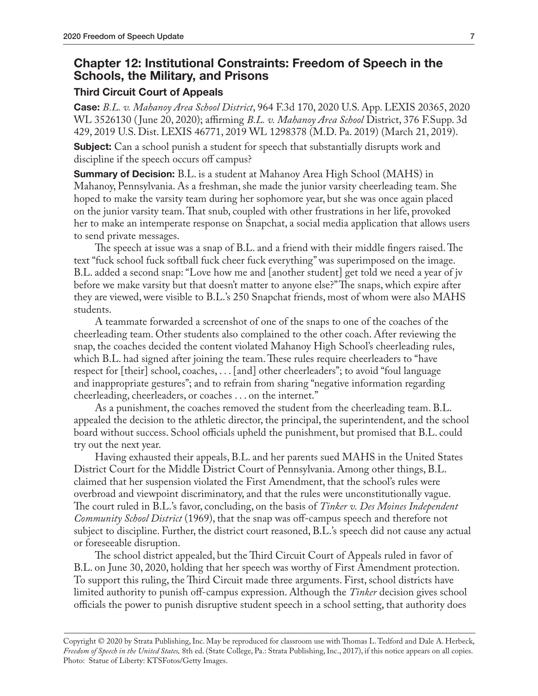## **Chapter 12: Institutional Constraints: Freedom of Speech in the Schools, the Military, and Prisons**

#### **Third Circuit Court of Appeals**

**Case:** *B.L. v. Mahanoy Area School District*, 964 F.3d 170, 2020 U.S. App. LEXIS 20365, 2020 WL 3526130 ( June 20, 2020); affirming *B.L. v. Mahanoy Area School* District, 376 F.Supp. 3d 429, 2019 U.S. Dist. LEXIS 46771, 2019 WL 1298378 (M.D. Pa. 2019) (March 21, 2019).

**Subject:** Can a school punish a student for speech that substantially disrupts work and discipline if the speech occurs off campus?

**Summary of Decision:** B.L. is a student at Mahanoy Area High School (MAHS) in Mahanoy, Pennsylvania. As a freshman, she made the junior varsity cheerleading team. She hoped to make the varsity team during her sophomore year, but she was once again placed on the junior varsity team. That snub, coupled with other frustrations in her life, provoked her to make an intemperate response on Snapchat, a social media application that allows users to send private messages.

The speech at issue was a snap of B.L. and a friend with their middle fingers raised. The text "fuck school fuck softball fuck cheer fuck everything" was superimposed on the image. B.L. added a second snap: "Love how me and [another student] get told we need a year of jv before we make varsity but that doesn't matter to anyone else?" The snaps, which expire after they are viewed, were visible to B.L.'s 250 Snapchat friends, most of whom were also MAHS students.

A teammate forwarded a screenshot of one of the snaps to one of the coaches of the cheerleading team. Other students also complained to the other coach. After reviewing the snap, the coaches decided the content violated Mahanoy High School's cheerleading rules, which B.L. had signed after joining the team. These rules require cheerleaders to "have respect for [their] school, coaches, . . . [and] other cheerleaders"; to avoid "foul language and inappropriate gestures"; and to refrain from sharing "negative information regarding cheerleading, cheerleaders, or coaches . . . on the internet."

As a punishment, the coaches removed the student from the cheerleading team. B.L. appealed the decision to the athletic director, the principal, the superintendent, and the school board without success. School officials upheld the punishment, but promised that B.L. could try out the next year.

Having exhausted their appeals, B.L. and her parents sued MAHS in the United States District Court for the Middle District Court of Pennsylvania. Among other things, B.L. claimed that her suspension violated the First Amendment, that the school's rules were overbroad and viewpoint discriminatory, and that the rules were unconstitutionally vague. The court ruled in B.L.'s favor, concluding, on the basis of *Tinker v. Des Moines Independent Community School District* (1969), that the snap was off-campus speech and therefore not subject to discipline. Further, the district court reasoned, B.L.'s speech did not cause any actual or foreseeable disruption.

The school district appealed, but the Third Circuit Court of Appeals ruled in favor of B.L. on June 30, 2020, holding that her speech was worthy of First Amendment protection. To support this ruling, the Third Circuit made three arguments. First, school districts have limited authority to punish off-campus expression. Although the *Tinker* decision gives school officials the power to punish disruptive student speech in a school setting, that authority does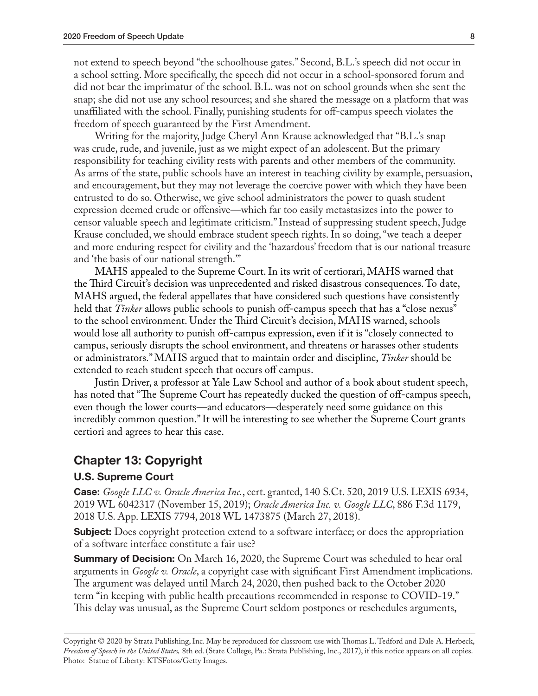not extend to speech beyond "the schoolhouse gates." Second, B.L.'s speech did not occur in a school setting. More specifically, the speech did not occur in a school-sponsored forum and did not bear the imprimatur of the school. B.L. was not on school grounds when she sent the snap; she did not use any school resources; and she shared the message on a platform that was unaffiliated with the school. Finally, punishing students for off-campus speech violates the freedom of speech guaranteed by the First Amendment.

Writing for the majority, Judge Cheryl Ann Krause acknowledged that "B.L.'s snap was crude, rude, and juvenile, just as we might expect of an adolescent. But the primary responsibility for teaching civility rests with parents and other members of the community. As arms of the state, public schools have an interest in teaching civility by example, persuasion, and encouragement, but they may not leverage the coercive power with which they have been entrusted to do so. Otherwise, we give school administrators the power to quash student expression deemed crude or offensive—which far too easily metastasizes into the power to censor valuable speech and legitimate criticism." Instead of suppressing student speech, Judge Krause concluded, we should embrace student speech rights. In so doing, "we teach a deeper and more enduring respect for civility and the 'hazardous' freedom that is our national treasure and 'the basis of our national strength.'"

MAHS appealed to the Supreme Court. In its writ of certiorari, MAHS warned that the Third Circuit's decision was unprecedented and risked disastrous consequences. To date, MAHS argued, the federal appellates that have considered such questions have consistently held that *Tinker* allows public schools to punish off-campus speech that has a "close nexus" to the school environment. Under the Third Circuit's decision, MAHS warned, schools would lose all authority to punish off-campus expression, even if it is "closely connected to campus, seriously disrupts the school environment, and threatens or harasses other students or administrators." MAHS argued that to maintain order and discipline, *Tinker* should be extended to reach student speech that occurs off campus.

Justin Driver, a professor at Yale Law School and author of a book about student speech, has noted that "The Supreme Court has repeatedly ducked the question of off-campus speech, even though the lower courts—and educators—desperately need some guidance on this incredibly common question." It will be interesting to see whether the Supreme Court grants certiori and agrees to hear this case.

## **Chapter 13: Copyright**

#### **U.S. Supreme Court**

**Case:** *Google LLC v. Oracle America Inc.*, cert. granted, 140 S.Ct. 520, 2019 U.S. LEXIS 6934, 2019 WL 6042317 (November 15, 2019); *Oracle America Inc. v. Google LLC*, 886 F.3d 1179, 2018 U.S. App. LEXIS 7794, 2018 WL 1473875 (March 27, 2018).

**Subject:** Does copyright protection extend to a software interface; or does the appropriation of a software interface constitute a fair use?

**Summary of Decision:** On March 16, 2020, the Supreme Court was scheduled to hear oral arguments in *Google v. Oracle*, a copyright case with significant First Amendment implications. The argument was delayed until March 24, 2020, then pushed back to the October 2020 term "in keeping with public health precautions recommended in response to COVID-19." This delay was unusual, as the Supreme Court seldom postpones or reschedules arguments,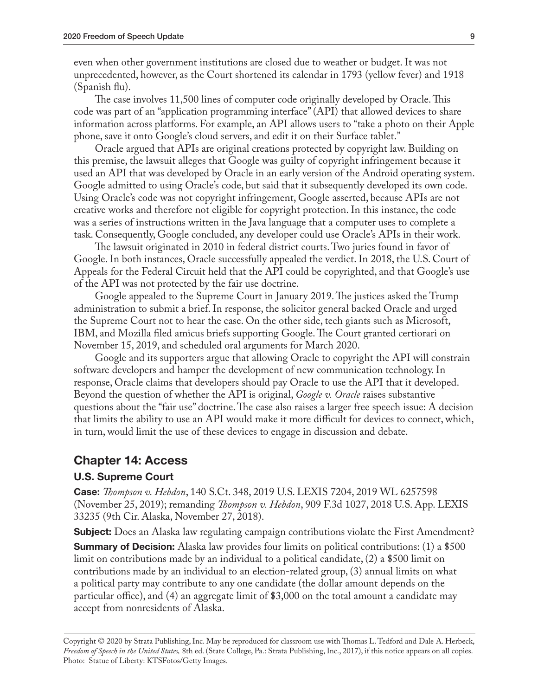even when other government institutions are closed due to weather or budget. It was not unprecedented, however, as the Court shortened its calendar in 1793 (yellow fever) and 1918 (Spanish flu).

The case involves 11,500 lines of computer code originally developed by Oracle. This code was part of an "application programming interface" (API) that allowed devices to share information across platforms. For example, an API allows users to "take a photo on their Apple phone, save it onto Google's cloud servers, and edit it on their Surface tablet."

Oracle argued that APIs are original creations protected by copyright law. Building on this premise, the lawsuit alleges that Google was guilty of copyright infringement because it used an API that was developed by Oracle in an early version of the Android operating system. Google admitted to using Oracle's code, but said that it subsequently developed its own code. Using Oracle's code was not copyright infringement, Google asserted, because APIs are not creative works and therefore not eligible for copyright protection. In this instance, the code was a series of instructions written in the Java language that a computer uses to complete a task. Consequently, Google concluded, any developer could use Oracle's APIs in their work.

The lawsuit originated in 2010 in federal district courts. Two juries found in favor of Google. In both instances, Oracle successfully appealed the verdict. In 2018, the U.S. Court of Appeals for the Federal Circuit held that the API could be copyrighted, and that Google's use of the API was not protected by the fair use doctrine.

Google appealed to the Supreme Court in January 2019. The justices asked the Trump administration to submit a brief. In response, the solicitor general backed Oracle and urged the Supreme Court not to hear the case. On the other side, tech giants such as Microsoft, IBM, and Mozilla filed amicus briefs supporting Google. The Court granted certiorari on November 15, 2019, and scheduled oral arguments for March 2020.

Google and its supporters argue that allowing Oracle to copyright the API will constrain software developers and hamper the development of new communication technology. In response, Oracle claims that developers should pay Oracle to use the API that it developed. Beyond the question of whether the API is original, *Google v. Oracle* raises substantive questions about the "fair use" doctrine. The case also raises a larger free speech issue: A decision that limits the ability to use an API would make it more difficult for devices to connect, which, in turn, would limit the use of these devices to engage in discussion and debate.

## **Chapter 14: Access**

#### **U.S. Supreme Court**

**Case:** *Thompson v. Hebdon*, 140 S.Ct. 348, 2019 U.S. LEXIS 7204, 2019 WL 6257598 (November 25, 2019); remanding *Thompson v. Hebdon*, 909 F.3d 1027, 2018 U.S. App. LEXIS 33235 (9th Cir. Alaska, November 27, 2018).

**Subject:** Does an Alaska law regulating campaign contributions violate the First Amendment? **Summary of Decision:** Alaska law provides four limits on political contributions: (1) a \$500 limit on contributions made by an individual to a political candidate, (2) a \$500 limit on contributions made by an individual to an election-related group, (3) annual limits on what a political party may contribute to any one candidate (the dollar amount depends on the particular office), and (4) an aggregate limit of \$3,000 on the total amount a candidate may accept from nonresidents of Alaska.